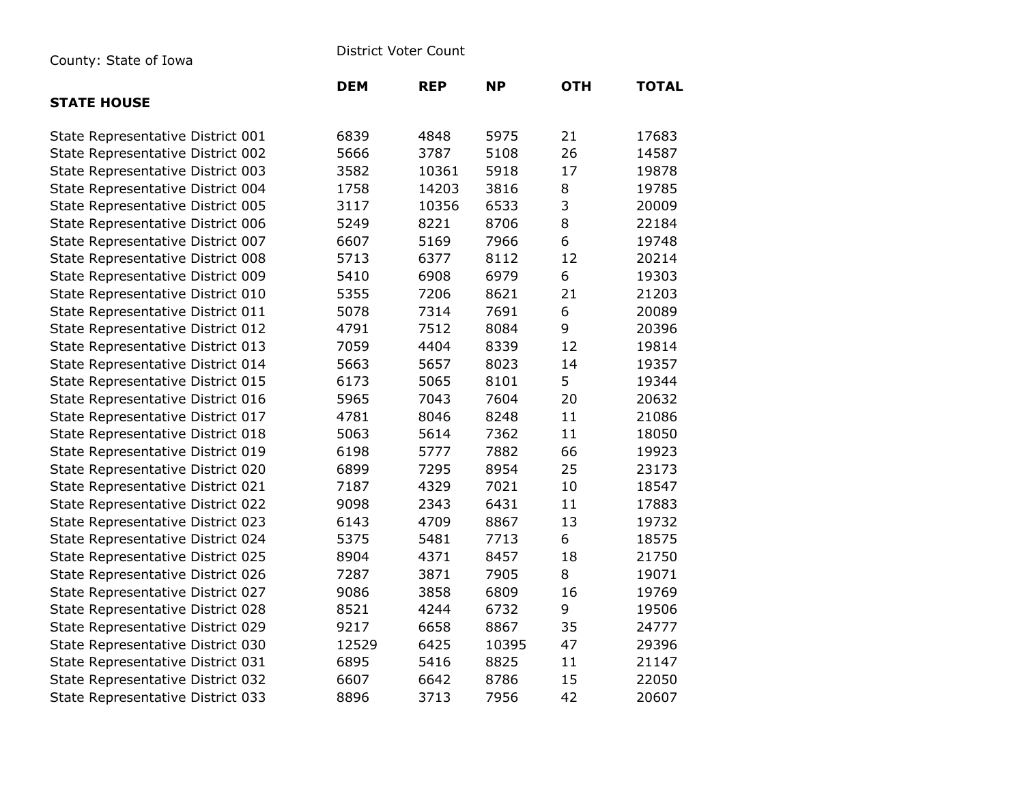| County: State of Iowa |  |  |  |
|-----------------------|--|--|--|
|-----------------------|--|--|--|

District Voter Count

|                                   | <b>DEM</b> | <b>REP</b> | <b>NP</b> | <b>OTH</b> | <b>TOTAL</b> |
|-----------------------------------|------------|------------|-----------|------------|--------------|
| <b>STATE HOUSE</b>                |            |            |           |            |              |
| State Representative District 001 | 6839       | 4848       | 5975      | 21         | 17683        |
| State Representative District 002 | 5666       | 3787       | 5108      | 26         | 14587        |
| State Representative District 003 | 3582       | 10361      | 5918      | 17         | 19878        |
| State Representative District 004 | 1758       | 14203      | 3816      | 8          | 19785        |
| State Representative District 005 | 3117       | 10356      | 6533      | 3          | 20009        |
| State Representative District 006 | 5249       | 8221       | 8706      | 8          | 22184        |
| State Representative District 007 | 6607       | 5169       | 7966      | 6          | 19748        |
| State Representative District 008 | 5713       | 6377       | 8112      | 12         | 20214        |
| State Representative District 009 | 5410       | 6908       | 6979      | 6          | 19303        |
| State Representative District 010 | 5355       | 7206       | 8621      | 21         | 21203        |
| State Representative District 011 | 5078       | 7314       | 7691      | 6          | 20089        |
| State Representative District 012 | 4791       | 7512       | 8084      | 9          | 20396        |
| State Representative District 013 | 7059       | 4404       | 8339      | 12         | 19814        |
| State Representative District 014 | 5663       | 5657       | 8023      | 14         | 19357        |
| State Representative District 015 | 6173       | 5065       | 8101      | 5          | 19344        |
| State Representative District 016 | 5965       | 7043       | 7604      | 20         | 20632        |
| State Representative District 017 | 4781       | 8046       | 8248      | 11         | 21086        |
| State Representative District 018 | 5063       | 5614       | 7362      | 11         | 18050        |
| State Representative District 019 | 6198       | 5777       | 7882      | 66         | 19923        |
| State Representative District 020 | 6899       | 7295       | 8954      | 25         | 23173        |
| State Representative District 021 | 7187       | 4329       | 7021      | 10         | 18547        |
| State Representative District 022 | 9098       | 2343       | 6431      | 11         | 17883        |
| State Representative District 023 | 6143       | 4709       | 8867      | 13         | 19732        |
| State Representative District 024 | 5375       | 5481       | 7713      | 6          | 18575        |
| State Representative District 025 | 8904       | 4371       | 8457      | 18         | 21750        |
| State Representative District 026 | 7287       | 3871       | 7905      | 8          | 19071        |
| State Representative District 027 | 9086       | 3858       | 6809      | 16         | 19769        |
| State Representative District 028 | 8521       | 4244       | 6732      | 9          | 19506        |
| State Representative District 029 | 9217       | 6658       | 8867      | 35         | 24777        |
| State Representative District 030 | 12529      | 6425       | 10395     | 47         | 29396        |
| State Representative District 031 | 6895       | 5416       | 8825      | 11         | 21147        |
| State Representative District 032 | 6607       | 6642       | 8786      | 15         | 22050        |
| State Representative District 033 | 8896       | 3713       | 7956      | 42         | 20607        |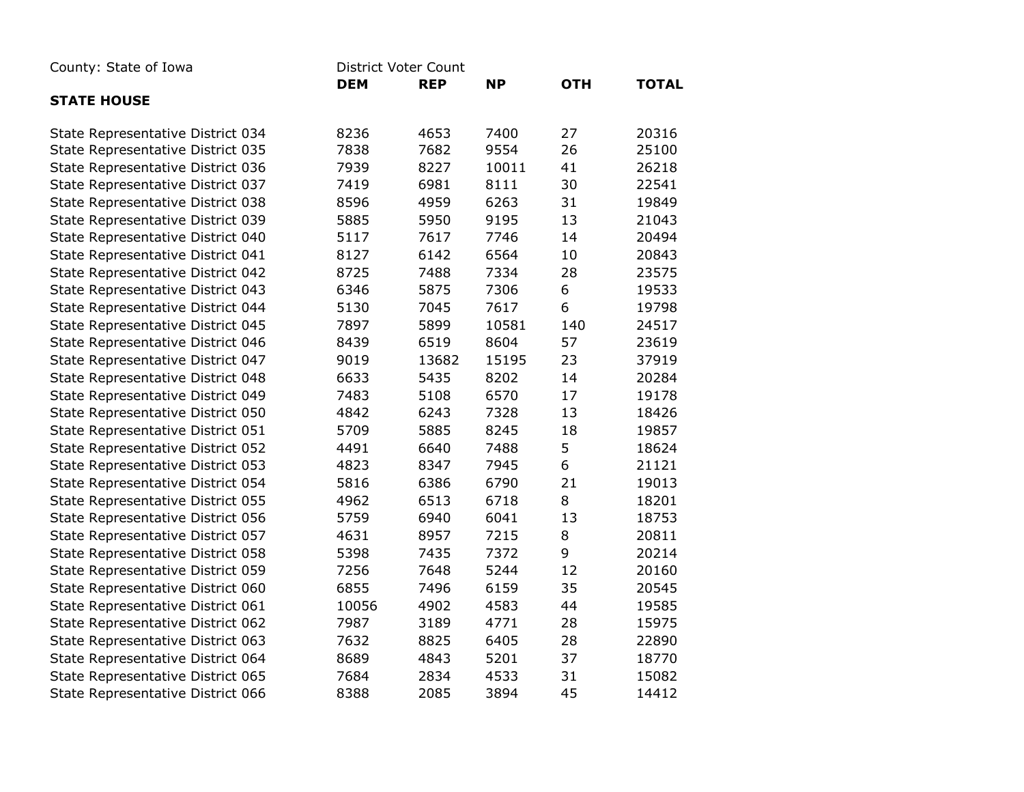| County: State of Iowa             | <b>District Voter Count</b> |            |           |            |              |
|-----------------------------------|-----------------------------|------------|-----------|------------|--------------|
|                                   | <b>DEM</b>                  | <b>REP</b> | <b>NP</b> | <b>OTH</b> | <b>TOTAL</b> |
| <b>STATE HOUSE</b>                |                             |            |           |            |              |
| State Representative District 034 | 8236                        | 4653       | 7400      | 27         | 20316        |
| State Representative District 035 | 7838                        | 7682       | 9554      | 26         | 25100        |
| State Representative District 036 | 7939                        | 8227       | 10011     | 41         | 26218        |
| State Representative District 037 | 7419                        | 6981       | 8111      | 30         | 22541        |
| State Representative District 038 | 8596                        | 4959       | 6263      | 31         | 19849        |
| State Representative District 039 | 5885                        | 5950       | 9195      | 13         | 21043        |
| State Representative District 040 | 5117                        | 7617       | 7746      | 14         | 20494        |
| State Representative District 041 | 8127                        | 6142       | 6564      | 10         | 20843        |
| State Representative District 042 | 8725                        | 7488       | 7334      | 28         | 23575        |
| State Representative District 043 | 6346                        | 5875       | 7306      | 6          | 19533        |
| State Representative District 044 | 5130                        | 7045       | 7617      | 6          | 19798        |
| State Representative District 045 | 7897                        | 5899       | 10581     | 140        | 24517        |
| State Representative District 046 | 8439                        | 6519       | 8604      | 57         | 23619        |
| State Representative District 047 | 9019                        | 13682      | 15195     | 23         | 37919        |
| State Representative District 048 | 6633                        | 5435       | 8202      | 14         | 20284        |
| State Representative District 049 | 7483                        | 5108       | 6570      | 17         | 19178        |
| State Representative District 050 | 4842                        | 6243       | 7328      | 13         | 18426        |
| State Representative District 051 | 5709                        | 5885       | 8245      | 18         | 19857        |
| State Representative District 052 | 4491                        | 6640       | 7488      | 5          | 18624        |
| State Representative District 053 | 4823                        | 8347       | 7945      | 6          | 21121        |
| State Representative District 054 | 5816                        | 6386       | 6790      | 21         | 19013        |
| State Representative District 055 | 4962                        | 6513       | 6718      | 8          | 18201        |
| State Representative District 056 | 5759                        | 6940       | 6041      | 13         | 18753        |
| State Representative District 057 | 4631                        | 8957       | 7215      | 8          | 20811        |
| State Representative District 058 | 5398                        | 7435       | 7372      | 9          | 20214        |
| State Representative District 059 | 7256                        | 7648       | 5244      | 12         | 20160        |
| State Representative District 060 | 6855                        | 7496       | 6159      | 35         | 20545        |
| State Representative District 061 | 10056                       | 4902       | 4583      | 44         | 19585        |
| State Representative District 062 | 7987                        | 3189       | 4771      | 28         | 15975        |
| State Representative District 063 | 7632                        | 8825       | 6405      | 28         | 22890        |
| State Representative District 064 | 8689                        | 4843       | 5201      | 37         | 18770        |
| State Representative District 065 | 7684                        | 2834       | 4533      | 31         | 15082        |
| State Representative District 066 | 8388                        | 2085       | 3894      | 45         | 14412        |